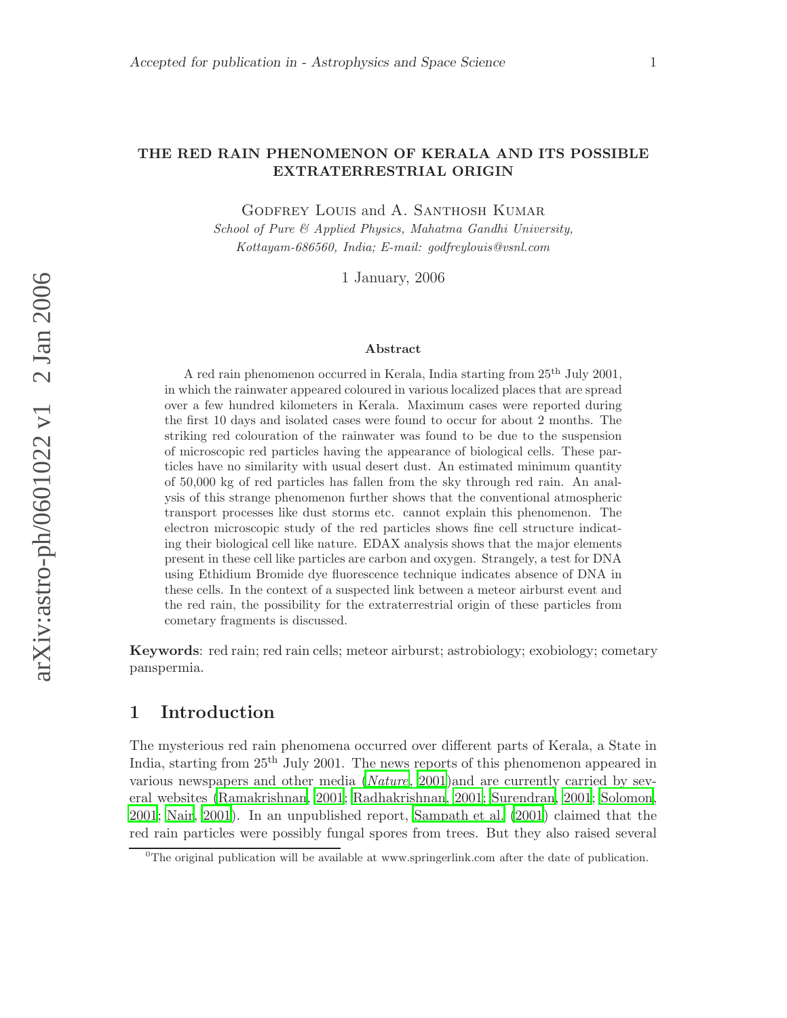#### THE RED RAIN PHENOMENON OF KERALA AND ITS POSSIBLE EXTRATERRESTRIAL ORIGIN

Godfrey Louis and A. Santhosh Kumar

School of Pure & Applied Physics, Mahatma Gandhi University, Kottayam-686560, India; E-mail: godfreylouis@vsnl.com

1 January, 2006

#### Abstract

A red rain phenomenon occurred in Kerala, India starting from  $25<sup>th</sup>$  July 2001, in which the rainwater appeared coloured in various localized places that are spread over a few hundred kilometers in Kerala. Maximum cases were reported during the first 10 days and isolated cases were found to occur for about 2 months. The striking red colouration of the rainwater was found to be due to the suspension of microscopic red particles having the appearance of biological cells. These particles have no similarity with usual desert dust. An estimated minimum quantity of 50,000 kg of red particles has fallen from the sky through red rain. An analysis of this strange phenomenon further shows that the conventional atmospheric transport processes like dust storms etc. cannot explain this phenomenon. The electron microscopic study of the red particles shows fine cell structure indicating their biological cell like nature. EDAX analysis shows that the major elements present in these cell like particles are carbon and oxygen. Strangely, a test for DNA using Ethidium Bromide dye fluorescence technique indicates absence of DNA in these cells. In the context of a suspected link between a meteor airburst event and the red rain, the possibility for the extraterrestrial origin of these particles from cometary fragments is discussed.

Keywords: red rain; red rain cells; meteor airburst; astrobiology; exobiology; cometary panspermia.

# 1 Introduction

The mysterious red rain phenomena occurred over different parts of Kerala, a State in India, starting from 25<sup>th</sup> July 2001. The news reports of this phenomenon appeared in various newspapers and other media ([Nature](#page-17-0), [2001](#page-17-0))and are currently carried by several websites [\(Ramakrishnan, 2001](#page-17-1); [Radhakrishnan, 2001](#page-17-2); [Surendran, 2001](#page-17-3); [Solomon](#page-17-4), [2001](#page-17-4); [Nair, 2001\)](#page-17-5). In an unpublished report, [Sampath et al. \(2001\)](#page-17-6) claimed that the red rain particles were possibly fungal spores from trees. But they also raised several

 $0$ <sup>0</sup>The original publication will be available at www.springerlink.com after the date of publication.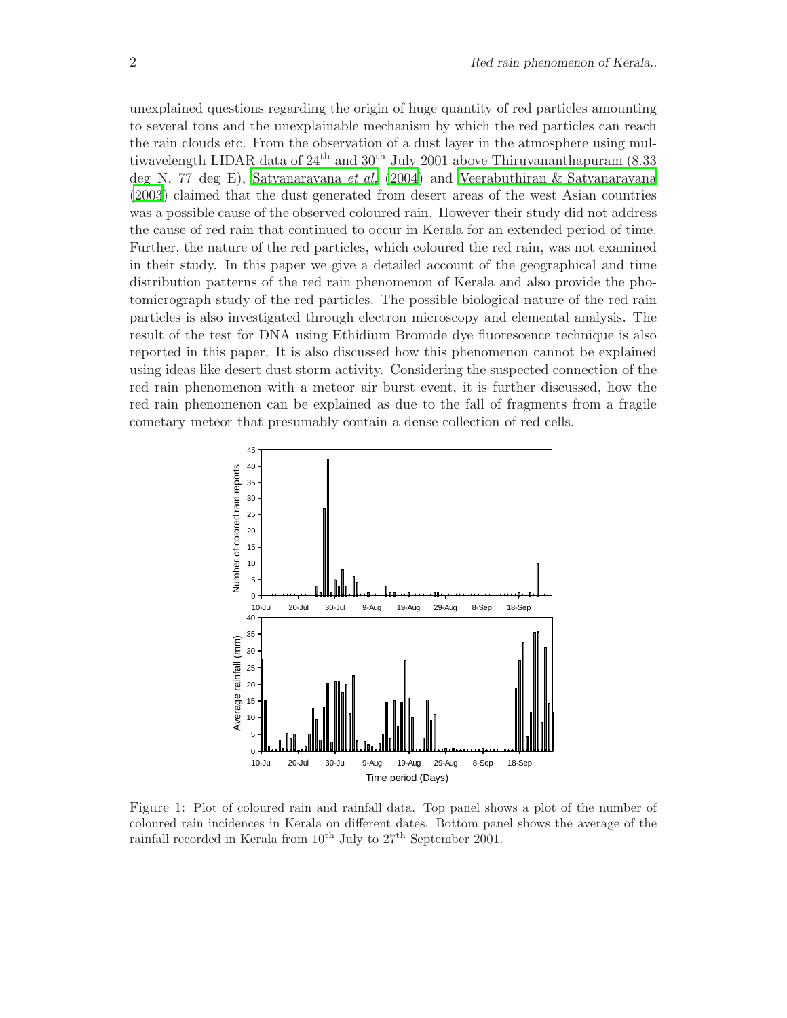unexplained questions regarding the origin of huge quantity of red particles amounting to several tons and the unexplainable mechanism by which the red particles can reach the rain clouds etc. From the observation of a dust layer in the atmosphere using multiwavelength LIDAR data of  $24<sup>th</sup>$  and  $30<sup>th</sup>$  July 2001 above Thiruvananthapuram (8.33) deg N, 77 deg E), [Satyanarayana](#page-17-7) et al. [\(2004](#page-17-7)) and [Veerabuthiran & Satyanarayana](#page-17-8) [\(2003\)](#page-17-8) claimed that the dust generated from desert areas of the west Asian countries was a possible cause of the observed coloured rain. However their study did not address the cause of red rain that continued to occur in Kerala for an extended period of time. Further, the nature of the red particles, which coloured the red rain, was not examined in their study. In this paper we give a detailed account of the geographical and time distribution patterns of the red rain phenomenon of Kerala and also provide the photomicrograph study of the red particles. The possible biological nature of the red rain particles is also investigated through electron microscopy and elemental analysis. The result of the test for DNA using Ethidium Bromide dye fluorescence technique is also reported in this paper. It is also discussed how this phenomenon cannot be explained using ideas like desert dust storm activity. Considering the suspected connection of the red rain phenomenon with a meteor air burst event, it is further discussed, how the red rain phenomenon can be explained as due to the fall of fragments from a fragile cometary meteor that presumably contain a dense collection of red cells.



<span id="page-1-0"></span>Figure 1: Plot of coloured rain and rainfall data. Top panel shows a plot of the number of coloured rain incidences in Kerala on different dates. Bottom panel shows the average of the rainfall recorded in Kerala from  $10^{th}$  July to  $27^{th}$  September 2001.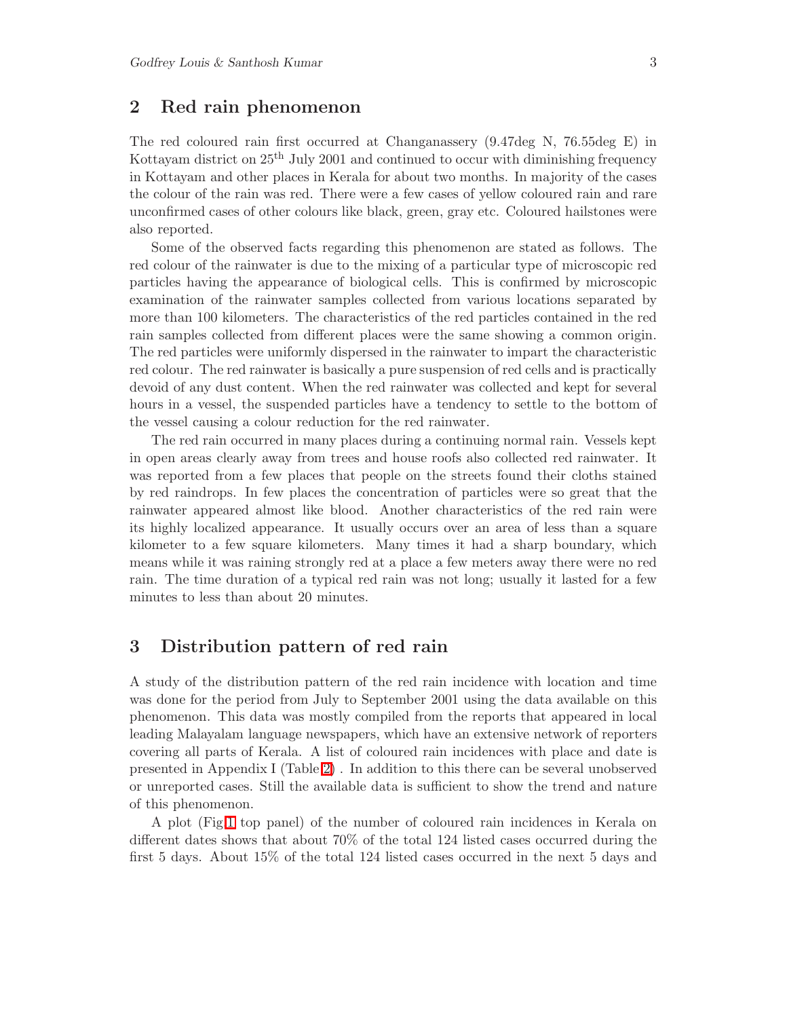#### 2 Red rain phenomenon

The red coloured rain first occurred at Changanassery (9.47deg N, 76.55deg E) in Kottayam district on 25th July 2001 and continued to occur with diminishing frequency in Kottayam and other places in Kerala for about two months. In majority of the cases the colour of the rain was red. There were a few cases of yellow coloured rain and rare unconfirmed cases of other colours like black, green, gray etc. Coloured hailstones were also reported.

Some of the observed facts regarding this phenomenon are stated as follows. The red colour of the rainwater is due to the mixing of a particular type of microscopic red particles having the appearance of biological cells. This is confirmed by microscopic examination of the rainwater samples collected from various locations separated by more than 100 kilometers. The characteristics of the red particles contained in the red rain samples collected from different places were the same showing a common origin. The red particles were uniformly dispersed in the rainwater to impart the characteristic red colour. The red rainwater is basically a pure suspension of red cells and is practically devoid of any dust content. When the red rainwater was collected and kept for several hours in a vessel, the suspended particles have a tendency to settle to the bottom of the vessel causing a colour reduction for the red rainwater.

The red rain occurred in many places during a continuing normal rain. Vessels kept in open areas clearly away from trees and house roofs also collected red rainwater. It was reported from a few places that people on the streets found their cloths stained by red raindrops. In few places the concentration of particles were so great that the rainwater appeared almost like blood. Another characteristics of the red rain were its highly localized appearance. It usually occurs over an area of less than a square kilometer to a few square kilometers. Many times it had a sharp boundary, which means while it was raining strongly red at a place a few meters away there were no red rain. The time duration of a typical red rain was not long; usually it lasted for a few minutes to less than about 20 minutes.

#### 3 Distribution pattern of red rain

A study of the distribution pattern of the red rain incidence with location and time was done for the period from July to September 2001 using the data available on this phenomenon. This data was mostly compiled from the reports that appeared in local leading Malayalam language newspapers, which have an extensive network of reporters covering all parts of Kerala. A list of coloured rain incidences with place and date is presented in Appendix I (Table [2\)](#page-13-0) . In addition to this there can be several unobserved or unreported cases. Still the available data is sufficient to show the trend and nature of this phenomenon.

A plot (Fig[.1](#page-1-0) top panel) of the number of coloured rain incidences in Kerala on different dates shows that about 70% of the total 124 listed cases occurred during the first 5 days. About 15% of the total 124 listed cases occurred in the next 5 days and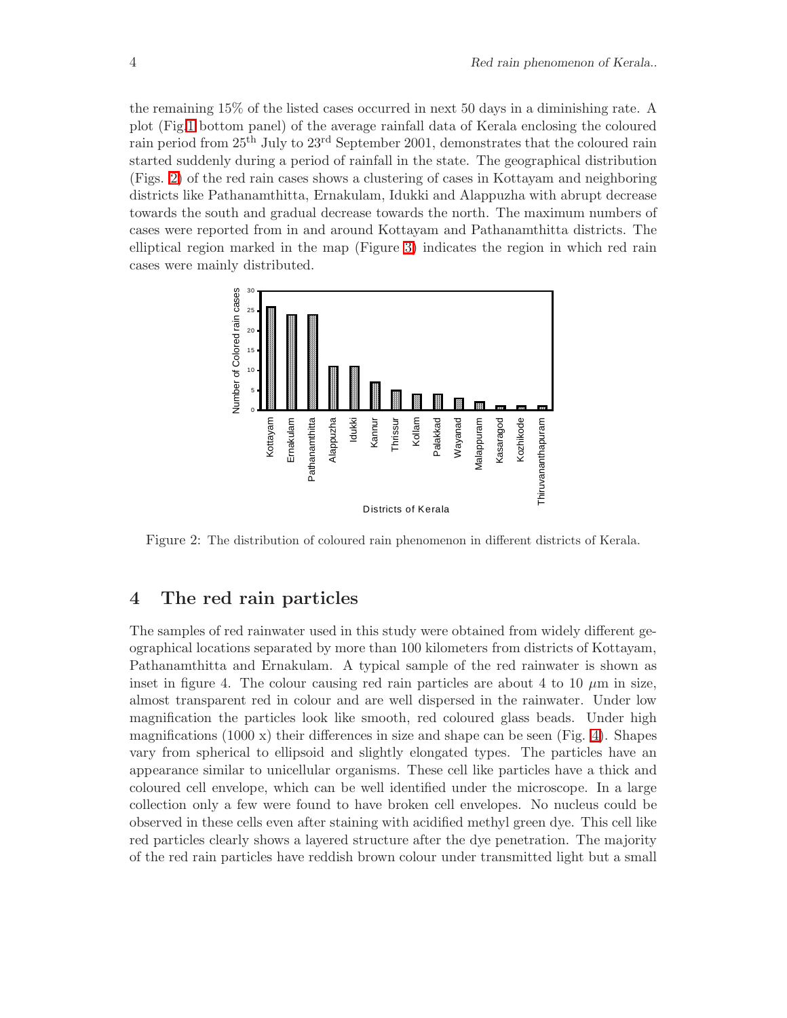the remaining 15% of the listed cases occurred in next 50 days in a diminishing rate. A plot (Fig[.1](#page-1-0) bottom panel) of the average rainfall data of Kerala enclosing the coloured rain period from 25th July to 23rd September 2001, demonstrates that the coloured rain started suddenly during a period of rainfall in the state. The geographical distribution (Figs. [2\)](#page-3-0) of the red rain cases shows a clustering of cases in Kottayam and neighboring districts like Pathanamthitta, Ernakulam, Idukki and Alappuzha with abrupt decrease towards the south and gradual decrease towards the north. The maximum numbers of cases were reported from in and around Kottayam and Pathanamthitta districts. The elliptical region marked in the map (Figure [3\)](#page-4-0) indicates the region in which red rain cases were mainly distributed.



<span id="page-3-0"></span>Figure 2: The distribution of coloured rain phenomenon in different districts of Kerala.

#### 4 The red rain particles

The samples of red rainwater used in this study were obtained from widely different geographical locations separated by more than 100 kilometers from districts of Kottayam, Pathanamthitta and Ernakulam. A typical sample of the red rainwater is shown as inset in figure 4. The colour causing red rain particles are about 4 to 10  $\mu$ m in size, almost transparent red in colour and are well dispersed in the rainwater. Under low magnification the particles look like smooth, red coloured glass beads. Under high magnifications  $(1000 \text{ x})$  their differences in size and shape can be seen (Fig. [4\)](#page-5-0). Shapes vary from spherical to ellipsoid and slightly elongated types. The particles have an appearance similar to unicellular organisms. These cell like particles have a thick and coloured cell envelope, which can be well identified under the microscope. In a large collection only a few were found to have broken cell envelopes. No nucleus could be observed in these cells even after staining with acidified methyl green dye. This cell like red particles clearly shows a layered structure after the dye penetration. The majority of the red rain particles have reddish brown colour under transmitted light but a small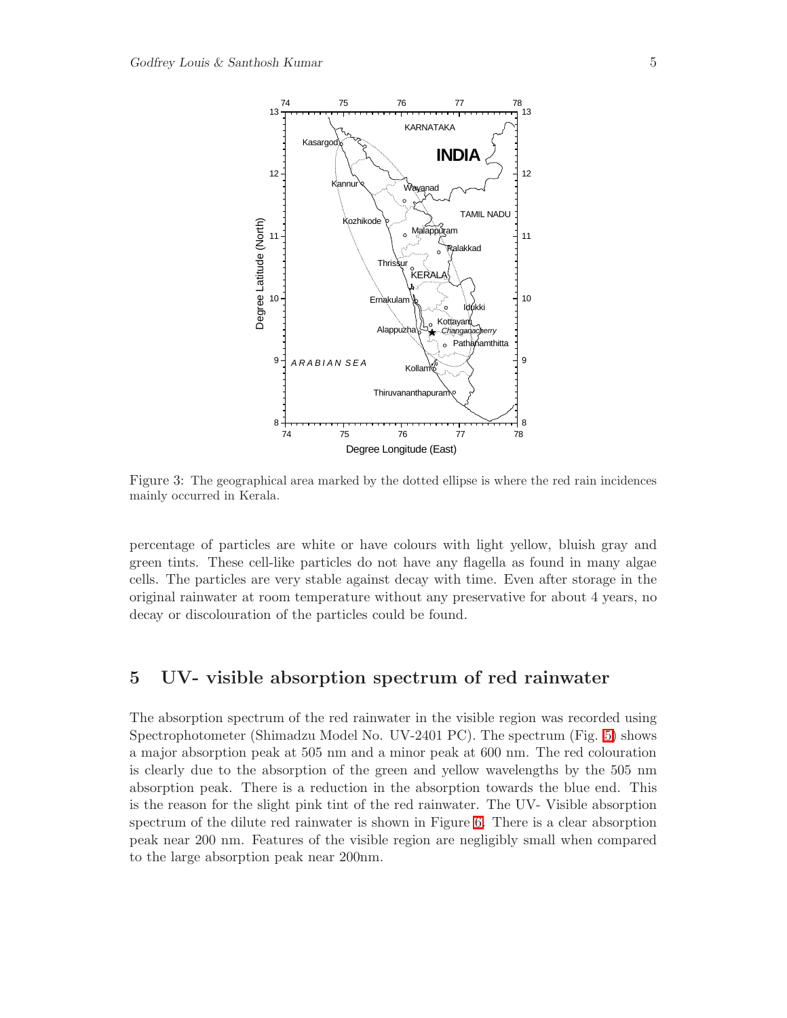

<span id="page-4-0"></span>Figure 3: The geographical area marked by the dotted ellipse is where the red rain incidences mainly occurred in Kerala.

percentage of particles are white or have colours with light yellow, bluish gray and green tints. These cell-like particles do not have any flagella as found in many algae cells. The particles are very stable against decay with time. Even after storage in the original rainwater at room temperature without any preservative for about 4 years, no decay or discolouration of the particles could be found.

# 5 UV- visible absorption spectrum of red rainwater

The absorption spectrum of the red rainwater in the visible region was recorded using Spectrophotometer (Shimadzu Model No. UV-2401 PC). The spectrum (Fig. [5\)](#page-5-1) shows a major absorption peak at 505 nm and a minor peak at 600 nm. The red colouration is clearly due to the absorption of the green and yellow wavelengths by the 505 nm absorption peak. There is a reduction in the absorption towards the blue end. This is the reason for the slight pink tint of the red rainwater. The UV- Visible absorption spectrum of the dilute red rainwater is shown in Figure [6.](#page-6-0) There is a clear absorption peak near 200 nm. Features of the visible region are negligibly small when compared to the large absorption peak near 200nm.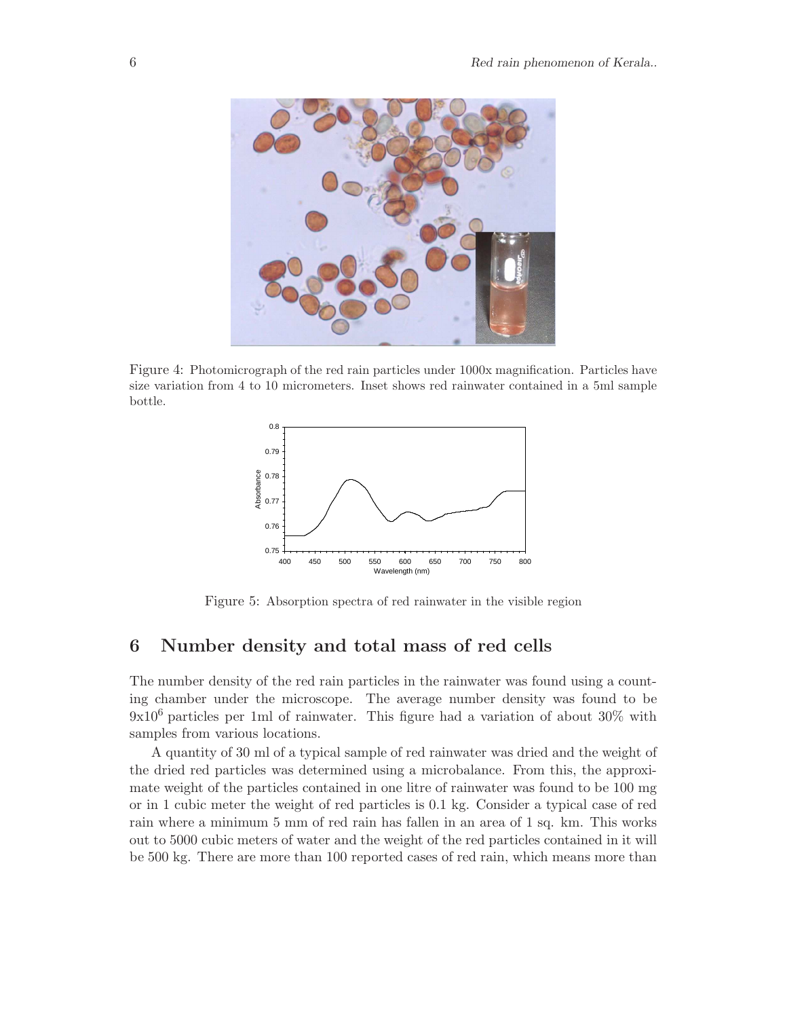

Figure 4: Photomicrograph of the red rain particles under 1000x magnification. Particles have size variation from 4 to 10 micrometers. Inset shows red rainwater contained in a 5ml sample bottle.

<span id="page-5-0"></span>

<span id="page-5-1"></span>Figure 5: Absorption spectra of red rainwater in the visible region

# 6 Number density and total mass of red cells

The number density of the red rain particles in the rainwater was found using a counting chamber under the microscope. The average number density was found to be 9x10<sup>6</sup> particles per 1ml of rainwater. This figure had a variation of about 30% with samples from various locations.

A quantity of 30 ml of a typical sample of red rainwater was dried and the weight of the dried red particles was determined using a microbalance. From this, the approximate weight of the particles contained in one litre of rainwater was found to be 100 mg or in 1 cubic meter the weight of red particles is 0.1 kg. Consider a typical case of red rain where a minimum 5 mm of red rain has fallen in an area of 1 sq. km. This works out to 5000 cubic meters of water and the weight of the red particles contained in it will be 500 kg. There are more than 100 reported cases of red rain, which means more than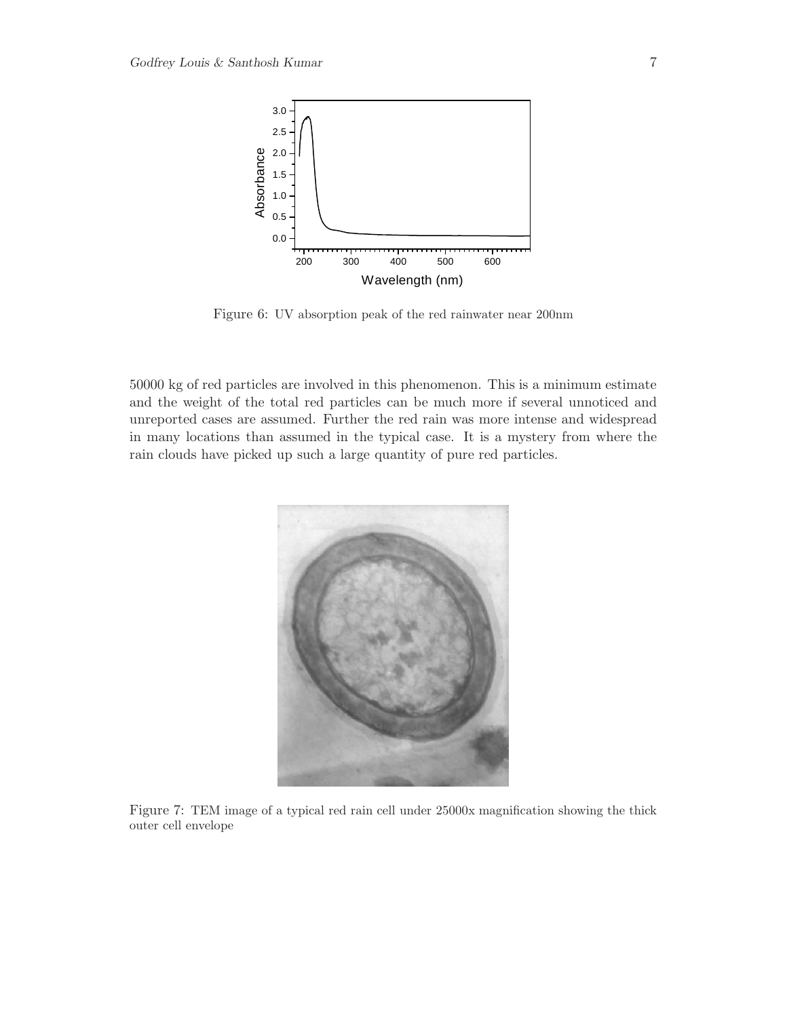

<span id="page-6-0"></span>Figure 6: UV absorption peak of the red rainwater near 200nm

50000 kg of red particles are involved in this phenomenon. This is a minimum estimate and the weight of the total red particles can be much more if several unnoticed and unreported cases are assumed. Further the red rain was more intense and widespread in many locations than assumed in the typical case. It is a mystery from where the rain clouds have picked up such a large quantity of pure red particles.

<span id="page-6-1"></span>

Figure 7: TEM image of a typical red rain cell under 25000x magnification showing the thick outer cell envelope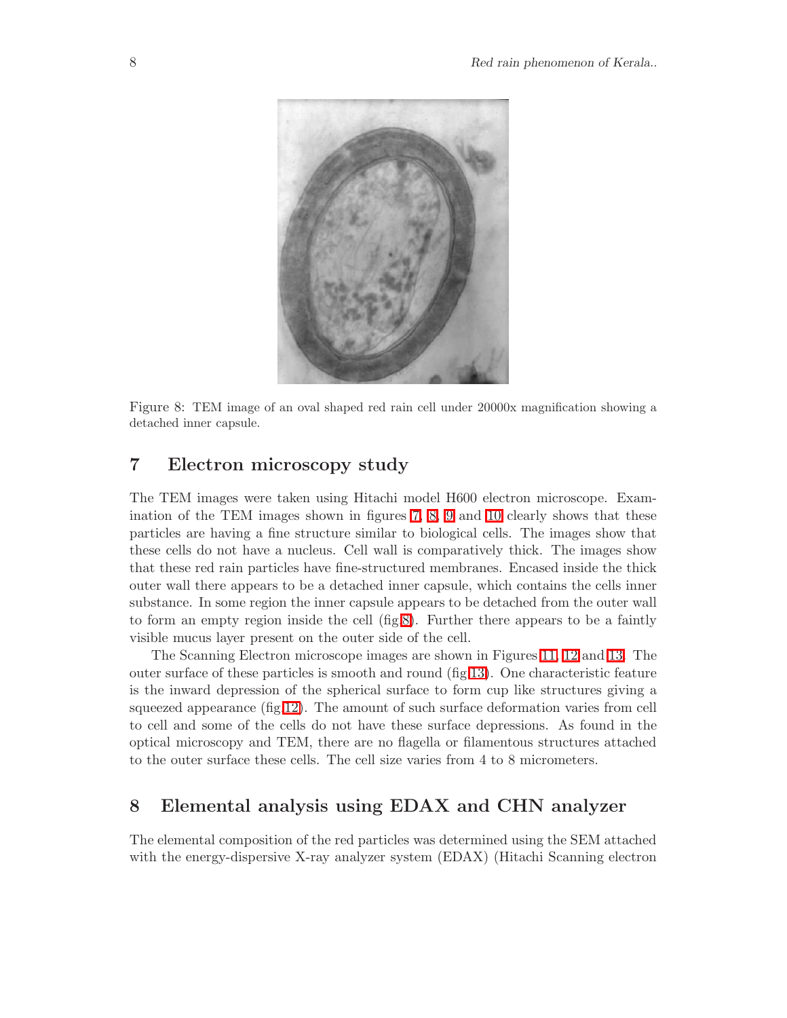

Figure 8: TEM image of an oval shaped red rain cell under 20000x magnification showing a detached inner capsule.

# <span id="page-7-0"></span>7 Electron microscopy study

The TEM images were taken using Hitachi model H600 electron microscope. Examination of the TEM images shown in figures [7,](#page-6-1) [8,](#page-7-0) [9](#page-8-0) and [10](#page-9-0) clearly shows that these particles are having a fine structure similar to biological cells. The images show that these cells do not have a nucleus. Cell wall is comparatively thick. The images show that these red rain particles have fine-structured membranes. Encased inside the thick outer wall there appears to be a detached inner capsule, which contains the cells inner substance. In some region the inner capsule appears to be detached from the outer wall to form an empty region inside the cell (fig[.8\)](#page-7-0). Further there appears to be a faintly visible mucus layer present on the outer side of the cell.

The Scanning Electron microscope images are shown in Figures [11,](#page-10-0) [12](#page-10-1) and [13.](#page-11-0) The outer surface of these particles is smooth and round (fig[.13\)](#page-11-0). One characteristic feature is the inward depression of the spherical surface to form cup like structures giving a squeezed appearance (fig[.12\)](#page-10-1). The amount of such surface deformation varies from cell to cell and some of the cells do not have these surface depressions. As found in the optical microscopy and TEM, there are no flagella or filamentous structures attached to the outer surface these cells. The cell size varies from 4 to 8 micrometers.

# 8 Elemental analysis using EDAX and CHN analyzer

The elemental composition of the red particles was determined using the SEM attached with the energy-dispersive X-ray analyzer system (EDAX) (Hitachi Scanning electron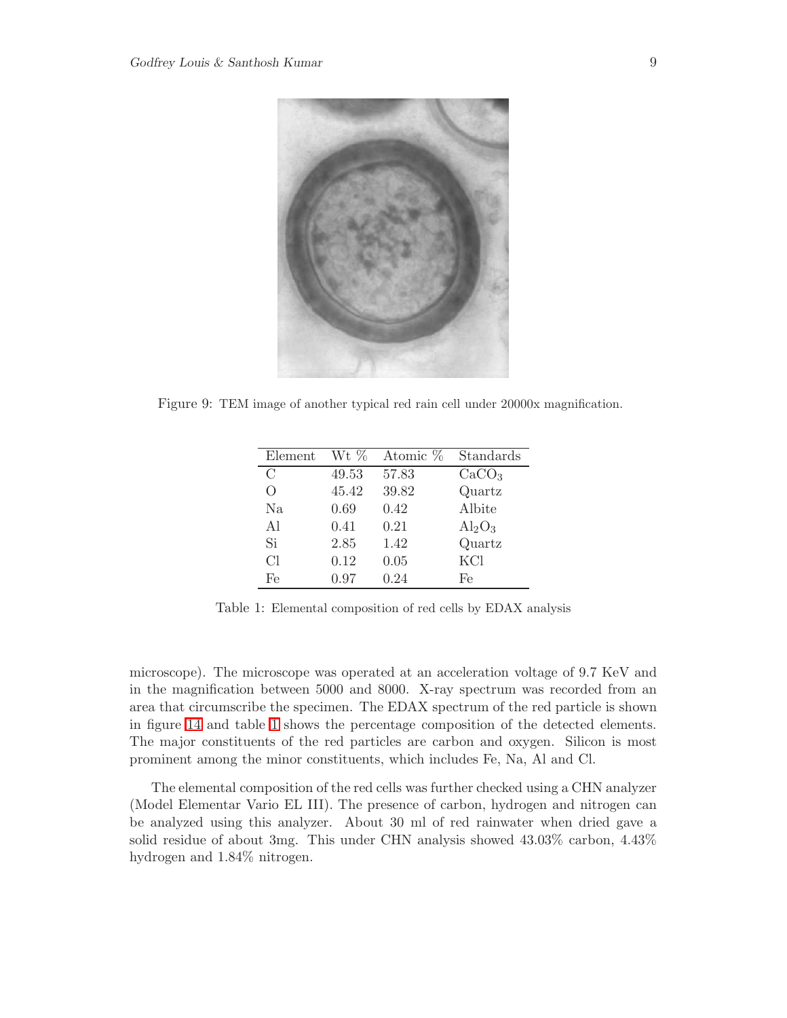

Figure 9: TEM image of another typical red rain cell under 20000x magnification.

<span id="page-8-0"></span>

| Element       | Wt %  | Atomic % | Standards         |
|---------------|-------|----------|-------------------|
| $\mathcal{C}$ | 49.53 | 57.83    | CaCO <sub>3</sub> |
| ∩             | 45.42 | 39.82    | Quartz            |
| Na            | 0.69  | 0.42     | Albite            |
| Al            | 0.41  | 0.21     | $Al_2O_3$         |
| Si            | 2.85  | 1.42     | Quartz            |
| Cl            | 0.12  | 0.05     | KCl               |
| Fe            | 0.97  | 0.24     | Fe                |

<span id="page-8-1"></span>Table 1: Elemental composition of red cells by EDAX analysis

microscope). The microscope was operated at an acceleration voltage of 9.7 KeV and in the magnification between 5000 and 8000. X-ray spectrum was recorded from an area that circumscribe the specimen. The EDAX spectrum of the red particle is shown in figure [14](#page-11-1) and table [1](#page-8-1) shows the percentage composition of the detected elements. The major constituents of the red particles are carbon and oxygen. Silicon is most prominent among the minor constituents, which includes Fe, Na, Al and Cl.

The elemental composition of the red cells was further checked using a CHN analyzer (Model Elementar Vario EL III). The presence of carbon, hydrogen and nitrogen can be analyzed using this analyzer. About 30 ml of red rainwater when dried gave a solid residue of about 3mg. This under CHN analysis showed 43.03% carbon, 4.43% hydrogen and 1.84% nitrogen.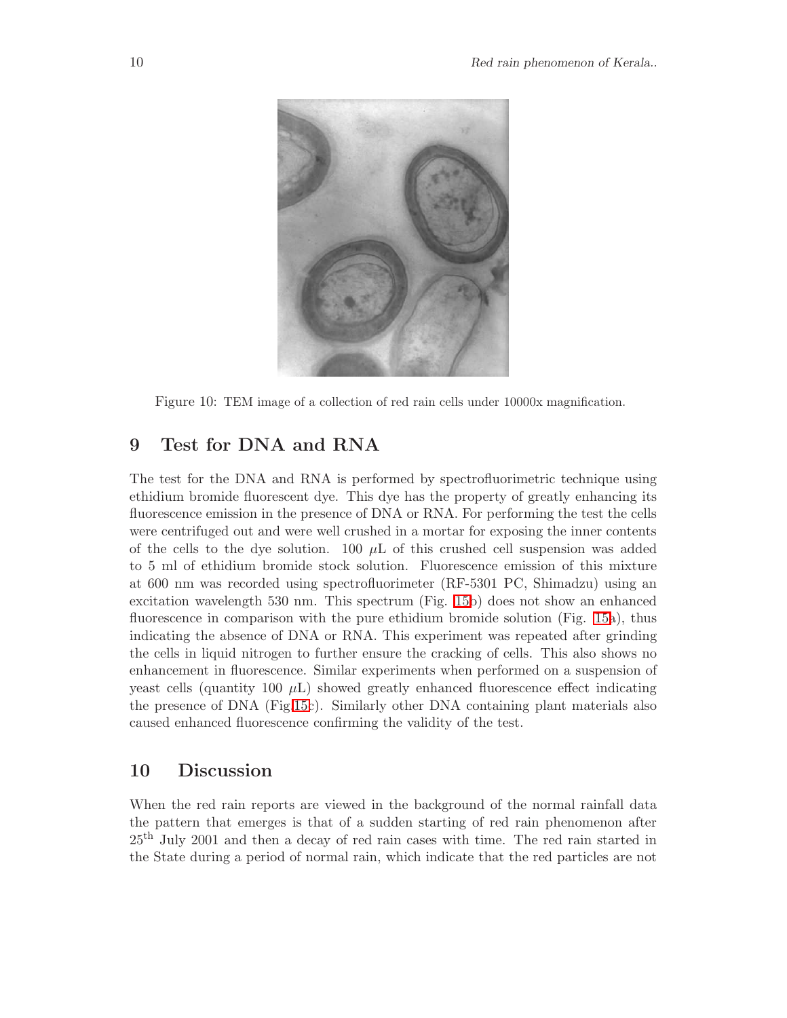

<span id="page-9-0"></span>Figure 10: TEM image of a collection of red rain cells under 10000x magnification.

# 9 Test for DNA and RNA

The test for the DNA and RNA is performed by spectrofluorimetric technique using ethidium bromide fluorescent dye. This dye has the property of greatly enhancing its fluorescence emission in the presence of DNA or RNA. For performing the test the cells were centrifuged out and were well crushed in a mortar for exposing the inner contents of the cells to the dye solution. 100  $\mu$ L of this crushed cell suspension was added to 5 ml of ethidium bromide stock solution. Fluorescence emission of this mixture at 600 nm was recorded using spectrofluorimeter (RF-5301 PC, Shimadzu) using an excitation wavelength 530 nm. This spectrum (Fig. [15b](#page-12-0)) does not show an enhanced fluorescence in comparison with the pure ethidium bromide solution (Fig. [15a](#page-12-0)), thus indicating the absence of DNA or RNA. This experiment was repeated after grinding the cells in liquid nitrogen to further ensure the cracking of cells. This also shows no enhancement in fluorescence. Similar experiments when performed on a suspension of yeast cells (quantity 100  $\mu$ ) showed greatly enhanced fluorescence effect indicating the presence of DNA (Fig[.15c](#page-12-0)). Similarly other DNA containing plant materials also caused enhanced fluorescence confirming the validity of the test.

## 10 Discussion

When the red rain reports are viewed in the background of the normal rainfall data the pattern that emerges is that of a sudden starting of red rain phenomenon after 25th July 2001 and then a decay of red rain cases with time. The red rain started in the State during a period of normal rain, which indicate that the red particles are not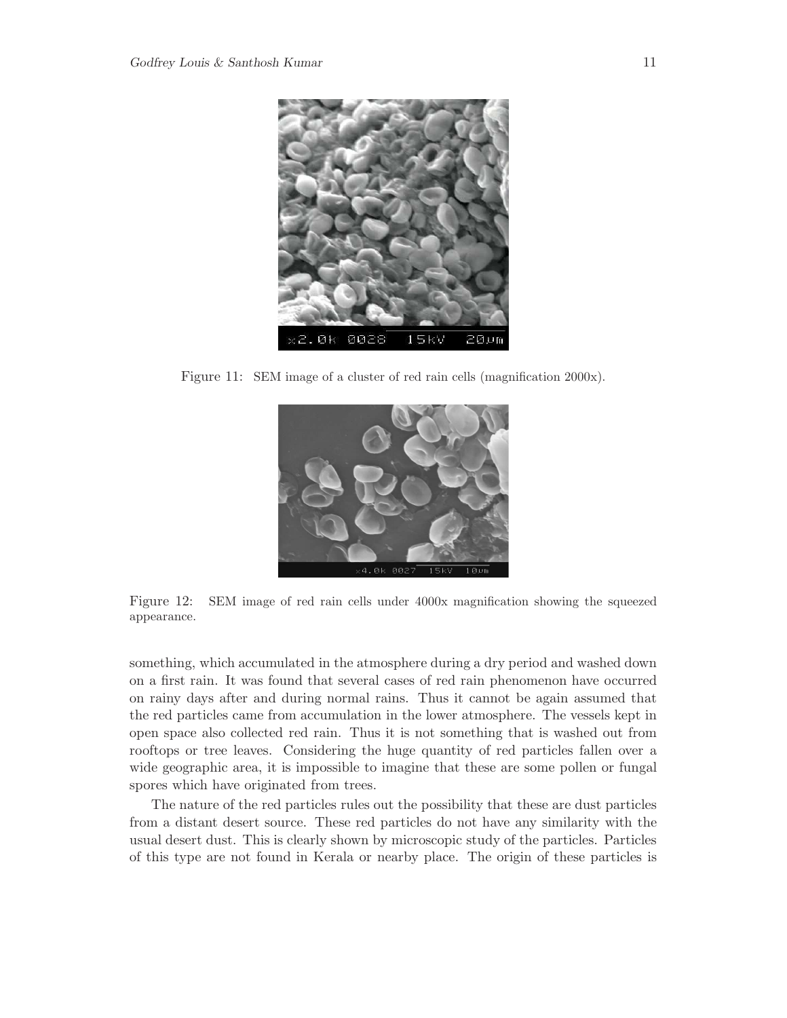

<span id="page-10-0"></span>Figure 11: SEM image of a cluster of red rain cells (magnification 2000x).



<span id="page-10-1"></span>Figure 12: SEM image of red rain cells under 4000x magnification showing the squeezed appearance.

something, which accumulated in the atmosphere during a dry period and washed down on a first rain. It was found that several cases of red rain phenomenon have occurred on rainy days after and during normal rains. Thus it cannot be again assumed that the red particles came from accumulation in the lower atmosphere. The vessels kept in open space also collected red rain. Thus it is not something that is washed out from rooftops or tree leaves. Considering the huge quantity of red particles fallen over a wide geographic area, it is impossible to imagine that these are some pollen or fungal spores which have originated from trees.

The nature of the red particles rules out the possibility that these are dust particles from a distant desert source. These red particles do not have any similarity with the usual desert dust. This is clearly shown by microscopic study of the particles. Particles of this type are not found in Kerala or nearby place. The origin of these particles is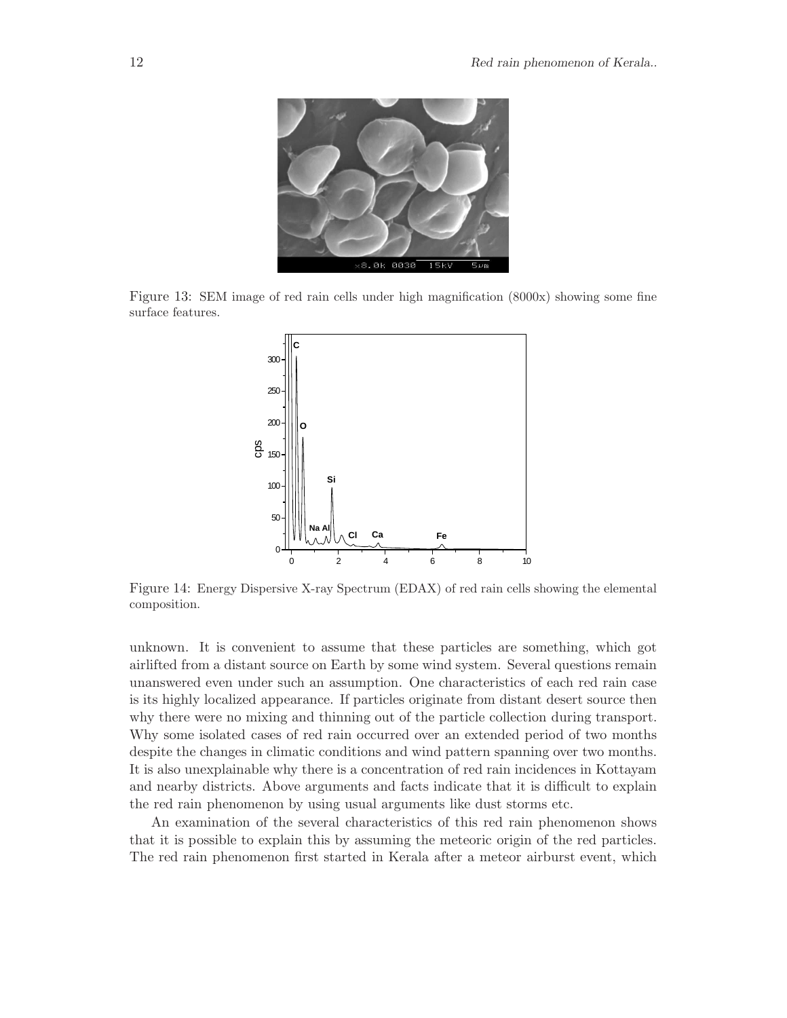

Figure 13: SEM image of red rain cells under high magnification (8000x) showing some fine surface features.

<span id="page-11-0"></span>

<span id="page-11-1"></span>Figure 14: Energy Dispersive X-ray Spectrum (EDAX) of red rain cells showing the elemental composition.

unknown. It is convenient to assume that these particles are something, which got airlifted from a distant source on Earth by some wind system. Several questions remain unanswered even under such an assumption. One characteristics of each red rain case is its highly localized appearance. If particles originate from distant desert source then why there were no mixing and thinning out of the particle collection during transport. Why some isolated cases of red rain occurred over an extended period of two months despite the changes in climatic conditions and wind pattern spanning over two months. It is also unexplainable why there is a concentration of red rain incidences in Kottayam and nearby districts. Above arguments and facts indicate that it is difficult to explain the red rain phenomenon by using usual arguments like dust storms etc.

An examination of the several characteristics of this red rain phenomenon shows that it is possible to explain this by assuming the meteoric origin of the red particles. The red rain phenomenon first started in Kerala after a meteor airburst event, which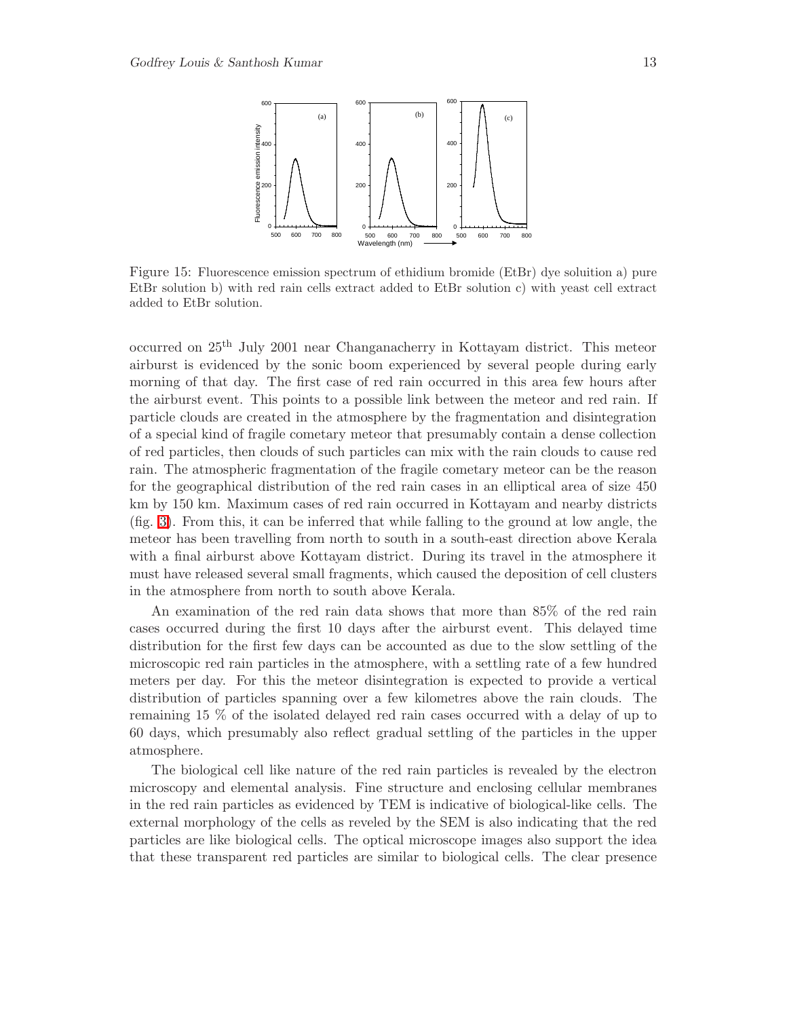

<span id="page-12-0"></span>Figure 15: Fluorescence emission spectrum of ethidium bromide (EtBr) dye soluition a) pure EtBr solution b) with red rain cells extract added to EtBr solution c) with yeast cell extract added to EtBr solution.

occurred on 25th July 2001 near Changanacherry in Kottayam district. This meteor airburst is evidenced by the sonic boom experienced by several people during early morning of that day. The first case of red rain occurred in this area few hours after the airburst event. This points to a possible link between the meteor and red rain. If particle clouds are created in the atmosphere by the fragmentation and disintegration of a special kind of fragile cometary meteor that presumably contain a dense collection of red particles, then clouds of such particles can mix with the rain clouds to cause red rain. The atmospheric fragmentation of the fragile cometary meteor can be the reason for the geographical distribution of the red rain cases in an elliptical area of size 450 km by 150 km. Maximum cases of red rain occurred in Kottayam and nearby districts (fig. [3\)](#page-4-0). From this, it can be inferred that while falling to the ground at low angle, the meteor has been travelling from north to south in a south-east direction above Kerala with a final airburst above Kottayam district. During its travel in the atmosphere it must have released several small fragments, which caused the deposition of cell clusters in the atmosphere from north to south above Kerala.

An examination of the red rain data shows that more than 85% of the red rain cases occurred during the first 10 days after the airburst event. This delayed time distribution for the first few days can be accounted as due to the slow settling of the microscopic red rain particles in the atmosphere, with a settling rate of a few hundred meters per day. For this the meteor disintegration is expected to provide a vertical distribution of particles spanning over a few kilometres above the rain clouds. The remaining 15 % of the isolated delayed red rain cases occurred with a delay of up to 60 days, which presumably also reflect gradual settling of the particles in the upper atmosphere.

The biological cell like nature of the red rain particles is revealed by the electron microscopy and elemental analysis. Fine structure and enclosing cellular membranes in the red rain particles as evidenced by TEM is indicative of biological-like cells. The external morphology of the cells as reveled by the SEM is also indicating that the red particles are like biological cells. The optical microscope images also support the idea that these transparent red particles are similar to biological cells. The clear presence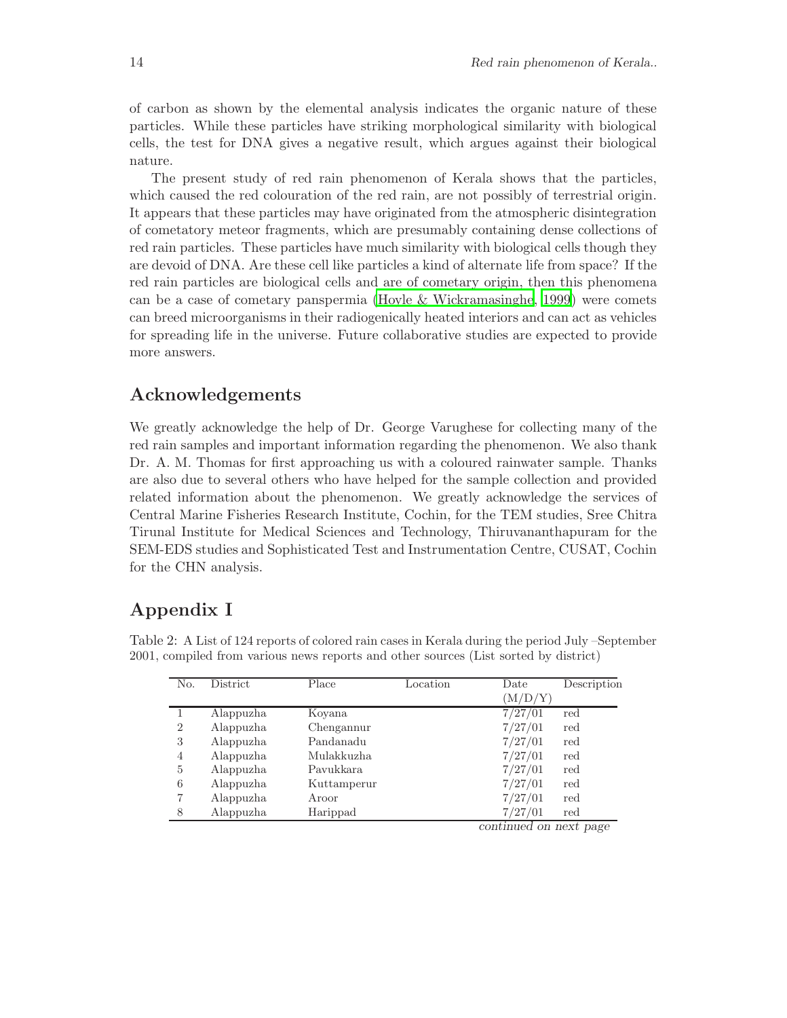of carbon as shown by the elemental analysis indicates the organic nature of these particles. While these particles have striking morphological similarity with biological cells, the test for DNA gives a negative result, which argues against their biological nature.

The present study of red rain phenomenon of Kerala shows that the particles, which caused the red colouration of the red rain, are not possibly of terrestrial origin. It appears that these particles may have originated from the atmospheric disintegration of cometatory meteor fragments, which are presumably containing dense collections of red rain particles. These particles have much similarity with biological cells though they are devoid of DNA. Are these cell like particles a kind of alternate life from space? If the red rain particles are biological cells and are of cometary origin, then this phenomena can be a case of cometary panspermia [\(Hoyle & Wickramasinghe](#page-17-9), [1999](#page-17-9)) were comets can breed microorganisms in their radiogenically heated interiors and can act as vehicles for spreading life in the universe. Future collaborative studies are expected to provide more answers.

# Acknowledgements

We greatly acknowledge the help of Dr. George Varughese for collecting many of the red rain samples and important information regarding the phenomenon. We also thank Dr. A. M. Thomas for first approaching us with a coloured rainwater sample. Thanks are also due to several others who have helped for the sample collection and provided related information about the phenomenon. We greatly acknowledge the services of Central Marine Fisheries Research Institute, Cochin, for the TEM studies, Sree Chitra Tirunal Institute for Medical Sciences and Technology, Thiruvananthapuram for the SEM-EDS studies and Sophisticated Test and Instrumentation Centre, CUSAT, Cochin for the CHN analysis.

# Appendix I

| No.            | <b>District</b> | Place       | Location | Date    | Description |
|----------------|-----------------|-------------|----------|---------|-------------|
|                |                 |             |          | (M/D/Y) |             |
|                | Alappuzha       | Kovana      |          | 7/27/01 | red         |
| $\overline{2}$ | Alappuzha       | Chengannur  |          | 7/27/01 | red         |
| 3              | Alappuzha       | Pandanadu   |          | 7/27/01 | red         |
| 4              | Alappuzha       | Mulakkuzha  |          | 7/27/01 | red         |
| 5              | Alappuzha       | Pavukkara   |          | 7/27/01 | red         |
| 6              | Alappuzha       | Kuttamperur |          | 7/27/01 | red         |
| 7              | Alappuzha       | Aroor       |          | 7/27/01 | red         |
| 8              | Alappuzha       | Harippad    |          | 7/27/01 | red         |
|                |                 |             |          |         |             |

<span id="page-13-0"></span>Table 2: A List of 124 reports of colored rain cases in Kerala during the period July –September 2001, compiled from various news reports and other sources (List sorted by district)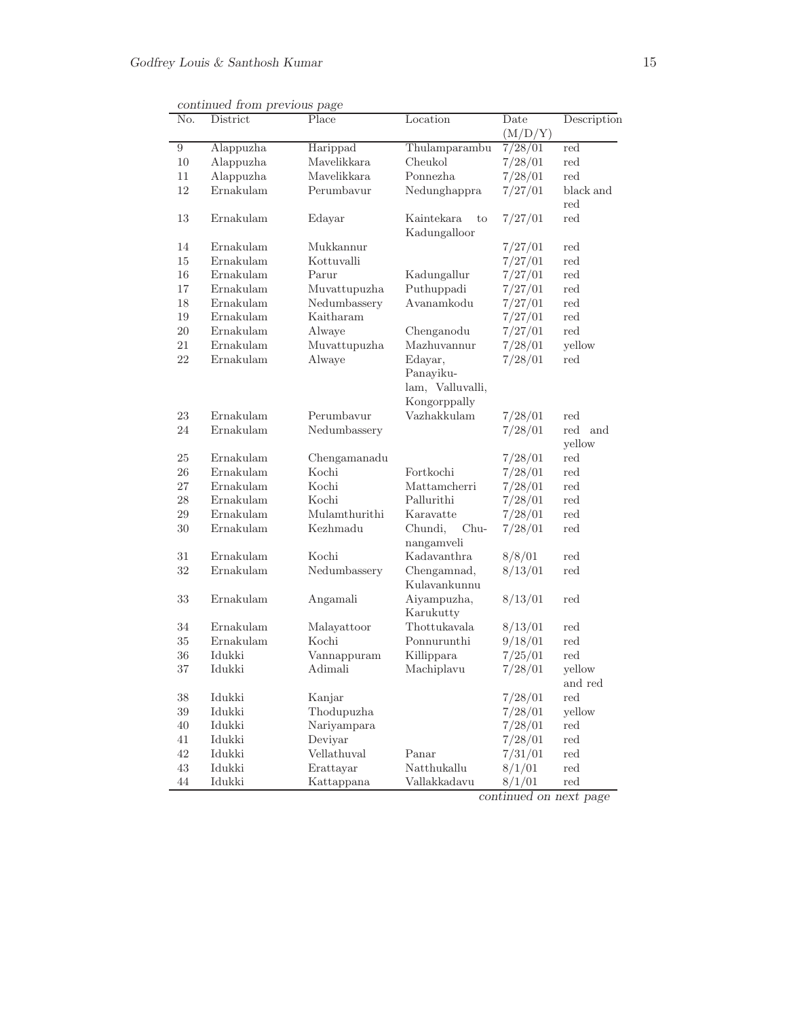| No.    | District  | Place         | Location                        | Date    | Description          |
|--------|-----------|---------------|---------------------------------|---------|----------------------|
|        |           |               |                                 | (M/D/Y) |                      |
| 9      | Alappuzha | Harippad      | Thulamparambu                   | 7/28/01 | red                  |
| 10     | Alappuzha | Mavelikkara   | Cheukol                         | 7/28/01 | red                  |
| 11     | Alappuzha | Mavelikkara   | Ponnezha                        | 7/28/01 | red                  |
| 12     | Ernakulam | Perumbavur    | Nedunghappra                    | 7/27/01 | black and            |
|        |           |               |                                 |         | $_{\rm red}$         |
| 13     | Ernakulam | Edayar        | Kaintekara<br>to                | 7/27/01 | $\operatorname{red}$ |
|        |           |               | Kadungalloor                    |         |                      |
| 14     | Ernakulam | Mukkannur     |                                 | 7/27/01 | red                  |
| 15     | Ernakulam | Kottuvalli    |                                 | 7/27/01 | red                  |
| 16     | Ernakulam | Parur         | Kadungallur                     | 7/27/01 | red                  |
| 17     | Ernakulam | Muvattupuzha  | Puthuppadi                      | 7/27/01 | $_{\rm red}$         |
| 18     | Ernakulam | Nedumbassery  | Avanamkodu                      | 7/27/01 | $\operatorname{red}$ |
| 19     | Ernakulam | Kaitharam     |                                 | 7/27/01 | $_{\rm red}$         |
| $20\,$ | Ernakulam | Alwaye        | Chenganodu                      | 7/27/01 | red                  |
| 21     | Ernakulam | Muvattupuzha  | Mazhuvannur                     | 7/28/01 | yellow               |
| 22     | Ernakulam | Alwaye        | Edayar,                         | 7/28/01 | red                  |
|        |           |               | Panayiku-                       |         |                      |
|        |           |               | lam, Valluvalli,                |         |                      |
|        |           |               | Kongorppally                    |         |                      |
| 23     | Ernakulam | Perumbavur    | Vazhakkulam                     | 7/28/01 | $_{\rm red}$         |
| 24     | Ernakulam | Nedumbassery  |                                 | 7/28/01 | red and              |
|        |           |               |                                 |         | yellow               |
| $25\,$ | Ernakulam | Chengamanadu  |                                 | 7/28/01 | $_{\rm red}$         |
| 26     | Ernakulam | Kochi         | Fortkochi                       | 7/28/01 | $_{\rm red}$         |
| 27     | Ernakulam | Kochi         | Mattamcherri                    | 7/28/01 | $_{\rm red}$         |
| 28     | Ernakulam | Kochi         | Pallurithi                      | 7/28/01 | red                  |
| 29     | Ernakulam | Mulamthurithi | Karavatte                       | 7/28/01 | red                  |
| 30     | Ernakulam | Kezhmadu      | $Chu-$<br>Chundi,<br>nangamveli | 7/28/01 | red                  |
| 31     | Ernakulam | Kochi         | Kadavanthra                     | 8/8/01  | $_{\rm red}$         |
| 32     | Ernakulam | Nedumbassery  | Chengamnad,<br>Kulavankunnu     | 8/13/01 | $_{\rm red}$         |
| $33\,$ | Ernakulam | Angamali      | Aiyampuzha,<br>Karukutty        | 8/13/01 | $_{\rm red}$         |
| 34     | Ernakulam | Malayattoor   | Thottukavala                    | 8/13/01 | $_{\rm red}$         |
| $35\,$ | Ernakulam | Kochi         | Ponnurunthi                     | 9/18/01 | $_{\rm red}$         |
| $36\,$ | Idukki    | Vannappuram   | Killippara                      | 7/25/01 | red                  |
| $37\,$ | Idukki    | Adimali       | Machiplavu                      | 7/28/01 | yellow               |
|        |           |               |                                 |         | and red              |
| $38\,$ | Idukki    | Kanjar        |                                 | 7/28/01 | $_{\rm red}$         |
| $39\,$ | Idukki    | Thodupuzha    |                                 | 7/28/01 | yellow               |
| $40\,$ | Idukki    | Nariyampara   |                                 | 7/28/01 | $_{\rm red}$         |
| 41     | Idukki    | Deviyar       |                                 | 7/28/01 | $_{\rm red}$         |
| $42\,$ | Idukki    | Vellathuval   | Panar                           | 7/31/01 | red                  |
| $43\,$ | Idukki    | Erattayar     | Natthukallu                     | 8/1/01  | red                  |
| 44     | Idukki    | Kattappana    | Vallakkadavu                    | 8/1/01  | red                  |

continued from previous page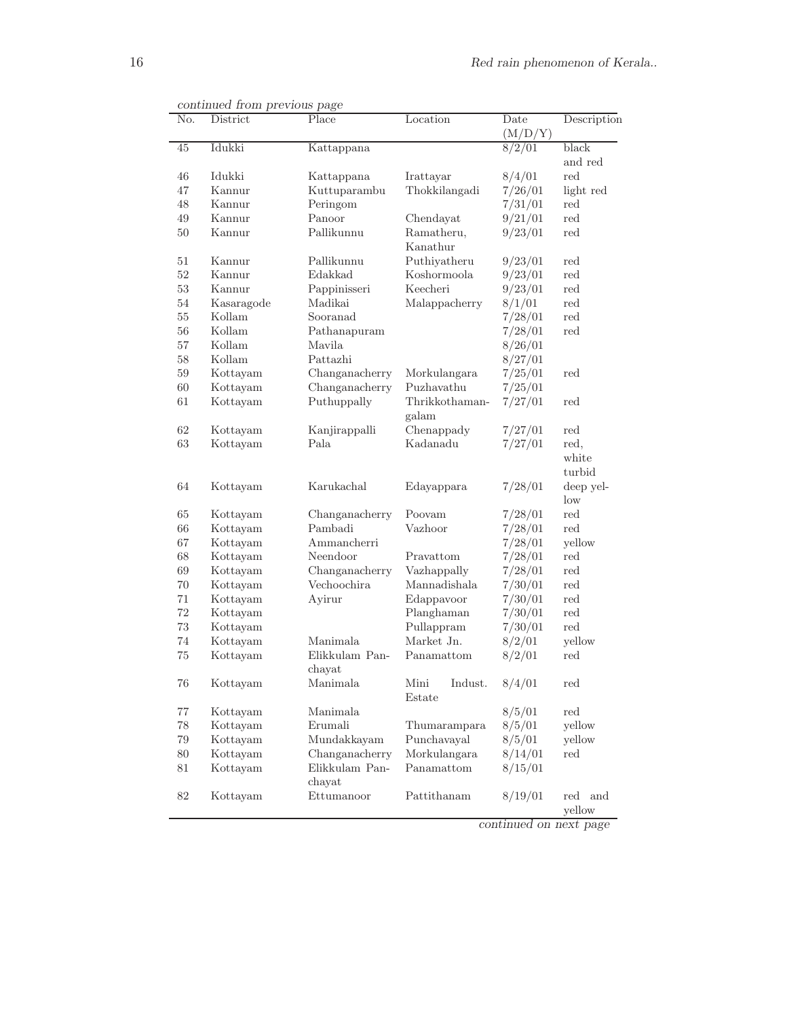| No.             | District   | Place          | Location                  | Date<br>(M/D/Y) | Description          |
|-----------------|------------|----------------|---------------------------|-----------------|----------------------|
| $\overline{45}$ | Idukki     | Kattappana     |                           | 8/2/01          | black                |
|                 |            |                |                           |                 | and red              |
| 46              | Idukki     | Kattappana     | Irattayar                 | 8/4/01          | red                  |
| 47              | Kannur     | Kuttuparambu   | Thokkilangadi             | 7/26/01         | light red            |
| 48              | Kannur     | Peringom       |                           | 7/31/01         | red                  |
| 49              | Kannur     | Panoor         | Chendayat                 | 9/21/01         | red                  |
| $50\,$          | Kannur     | Pallikunnu     | Ramatheru,                | 9/23/01         | red                  |
|                 |            |                | Kanathur                  |                 |                      |
| 51              | Kannur     | Pallikunnu     | Puthiyatheru              | 9/23/01         | red                  |
| 52              | Kannur     | Edakkad        | Koshormoola               | 9/23/01         | red                  |
| $53\,$          | Kannur     | Pappinisseri   | Keecheri                  | 9/23/01         | red                  |
| 54              | Kasaragode | Madikai        | Malappacherry             | 8/1/01          | red                  |
| $55\,$          | Kollam     | Sooranad       |                           | 7/28/01         | $\operatorname{red}$ |
| $56\,$          | Kollam     | Pathanapuram   |                           | 7/28/01         | $\operatorname{red}$ |
| $57\,$          | Kollam     | Mavila         |                           | 8/26/01         |                      |
| $58\,$          | Kollam     | Pattazhi       |                           | 8/27/01         |                      |
| 59              | Kottayam   | Changanacherry | Morkulangara              | 7/25/01         | red                  |
| 60              | Kottayam   | Changanacherry | Puzhavathu                | 7/25/01         |                      |
| 61              | Kottayam   | Puthuppally    | Thrikkothaman-            | 7/27/01         | red                  |
|                 |            |                | galam                     |                 |                      |
| 62              | Kottayam   | Kanjirappalli  | Chenappady                | 7/27/01         | red                  |
| 63              | Kottayam   | Pala           | Kadanadu                  | 7/27/01         | red,                 |
|                 |            |                |                           |                 | white                |
|                 |            |                |                           |                 | turbid               |
| 64              | Kottayam   | Karukachal     | Edayappara                | 7/28/01         | deep yel-            |
|                 |            |                |                           |                 | low                  |
| 65              | Kottayam   | Changanacherry | Poovam                    | 7/28/01         | $\operatorname{red}$ |
| 66              | Kottayam   | Pambadi        | Vazhoor                   | 7/28/01         | red                  |
| 67              | Kottayam   | Ammancherri    |                           | 7/28/01         | yellow               |
| 68              | Kottayam   | Neendoor       | Pravattom                 | 7/28/01         | $\operatorname{red}$ |
| 69              | Kottayam   | Changanacherry | Vazhappally               | 7/28/01         | red                  |
| $70\,$          | Kottayam   | Vechoochira    | Mannadishala              | 7/30/01         | red                  |
| 71              | Kottayam   | Ayirur         | Edappavoor                | 7/30/01         | $\operatorname{red}$ |
| 72              | Kottayam   |                | Planghaman                | 7/30/01         | red                  |
| $73\,$          |            |                | Pullappram                |                 | red                  |
| $74\,$          | Kottayam   | Manimala       | Market Jn.                | 7/30/01         |                      |
|                 | Kottayam   | Elikkulam Pan- |                           | 8/2/01          | yellow               |
| $75\,$          | Kottayam   | chayat         | Panamattom                | 8/2/01          | red                  |
| 76              | Kottayam   | Manimala       | Mini<br>Indust.<br>Estate | 8/4/01          | red                  |
| $77\,$          | Kottayam   | Manimala       |                           | 8/5/01          | red                  |
| 78              | Kottayam   | Erumali        | Thumarampara              | 8/5/01          | yellow               |
| 79              | Kottayam   | Mundakkayam    | Punchavayal               | 8/5/01          | yellow               |
| 80              | Kottayam   | Changanacherry | Morkulangara              | 8/14/01         | red                  |
| 81              | Kottayam   | Elikkulam Pan- | Panamattom                | 8/15/01         |                      |
|                 |            | chayat         |                           |                 |                      |
| 82              | Kottayam   | Ettumanoor     | Pattithanam               | 8/19/01         | red and              |
|                 |            |                |                           |                 | yellow               |

continued from previous page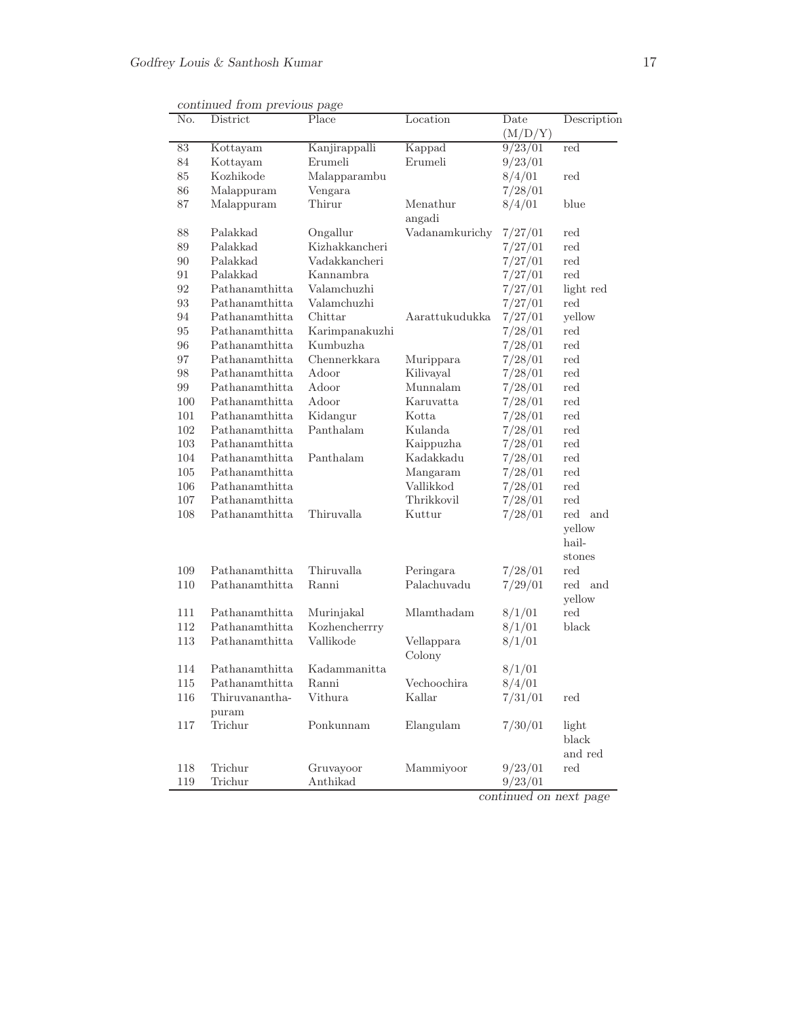| No.               | District       | Place          | Location       | Date    | Description                 |
|-------------------|----------------|----------------|----------------|---------|-----------------------------|
|                   |                |                |                | (M/D/Y) |                             |
| $83\,$            | Kottayam       | Kanjirappalli  | Kappad         | 9/23/01 | red                         |
| 84                | Kottayam       | Erumeli        | Erumeli        | 9/23/01 |                             |
| 85                | Kozhikode      | Malapparambu   |                | 8/4/01  | red                         |
| 86                | Malappuram     | Vengara        |                | 7/28/01 |                             |
| 87                | Malappuram     | Thirur         | Menathur       | 8/4/01  | blue                        |
|                   |                |                | angadi         |         |                             |
| 88                | Palakkad       | Ongallur       | Vadanamkurichy | 7/27/01 | red                         |
| 89                | Palakkad       | Kizhakkancheri |                | 7/27/01 | red                         |
| $90\,$            | Palakkad       | Vadakkancheri  |                | 7/27/01 | red                         |
| 91                | Palakkad       | Kannambra      |                | 7/27/01 | red                         |
| 92                | Pathanamthitta | Valamchuzhi    |                | 7/27/01 | light red                   |
| $\boldsymbol{93}$ | Pathanamthitta | Valamchuzhi    |                | 7/27/01 | red                         |
| 94                | Pathanamthitta | Chittar        | Aarattukudukka | 7/27/01 | yellow                      |
| 95                | Pathanamthitta | Karimpanakuzhi |                | 7/28/01 | red                         |
| 96                | Pathanamthitta | Kumbuzha       |                | 7/28/01 | red                         |
| $97\,$            | Pathanamthitta | Chennerkkara   | Murippara      | 7/28/01 | red                         |
| 98                | Pathanamthitta | Adoor          | Kilivayal      | 7/28/01 | red                         |
| $99\,$            | Pathanamthitta | Adoor          | Munnalam       | 7/28/01 | $\operatorname{red}$        |
| 100               | Pathanamthitta | Adoor          | Karuvatta      | 7/28/01 | red                         |
| 101               | Pathanamthitta | Kidangur       | Kotta          | 7/28/01 | red                         |
| 102               | Pathanamthitta | Panthalam      | Kulanda        | 7/28/01 | red                         |
| $103\,$           | Pathanamthitta |                | Kaippuzha      | 7/28/01 | red                         |
| 104               | Pathanamthitta | Panthalam      | Kadakkadu      | 7/28/01 | red                         |
| 105               | Pathanamthitta |                | Mangaram       | 7/28/01 | $\operatorname{red}$        |
| 106               | Pathanamthitta |                | Vallikkod      | 7/28/01 | red                         |
| 107               | Pathanamthitta |                | Thrikkovil     | 7/28/01 | red                         |
| 108               | Pathanamthitta | Thiruvalla     | Kuttur         | 7/28/01 | $\operatorname{red}$<br>and |
|                   |                |                |                |         | yellow                      |
|                   |                |                |                |         | hail-                       |
|                   |                |                |                |         | stones                      |
| 109               | Pathanamthitta | Thiruvalla     | Peringara      | 7/28/01 | red                         |
| 110               | Pathanamthitta | Ranni          | Palachuvadu    | 7/29/01 | red and                     |
|                   |                |                |                |         | yellow                      |
| 111               | Pathanamthitta | Murinjakal     | Mlamthadam     | 8/1/01  | red                         |
| 112               | Pathanamthitta | Kozhencherrry  |                | 8/1/01  | black                       |
| 113               | Pathanamthitta | Vallikode      | Vellappara     | 8/1/01  |                             |
|                   |                |                | Colony         |         |                             |
| 114               | Pathanamthitta | Kadammanitta   |                | 8/1/01  |                             |
| 115               | Pathanamthitta | Ranni          | Vechoochira    | 8/4/01  |                             |
| 116               | Thiruvanantha- | Vithura        | Kallar         | 7/31/01 | red                         |
|                   | puram          |                |                |         |                             |
| 117               | Trichur        | Ponkunnam      | Elangulam      | 7/30/01 | light                       |
|                   |                |                |                |         | black                       |
|                   |                |                |                |         | and red                     |
| 118               | Trichur        | Gruvayoor      | Mammiyoor      | 9/23/01 | red                         |
| 119               | Trichur        | Anthikad       |                | 9/23/01 |                             |

continued from previous page